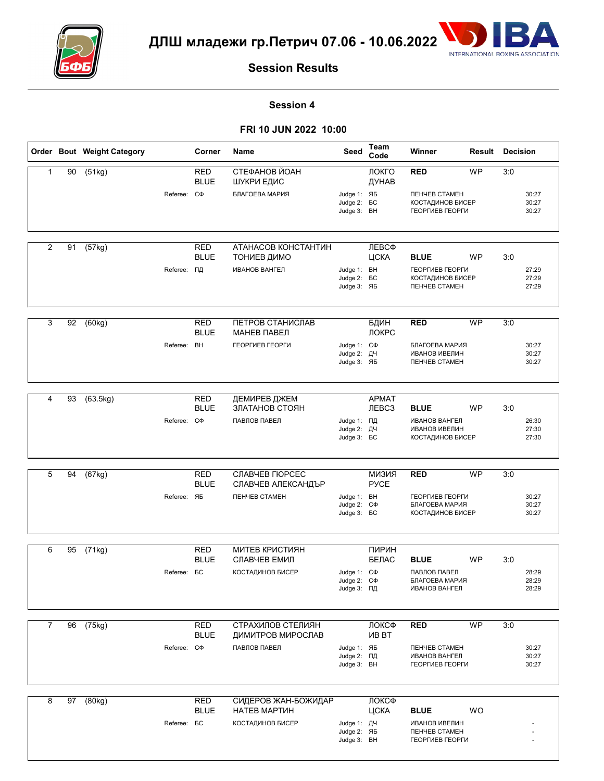



# **Session Results**

#### **Session 4**

### **FRI 10 JUN 2022 10:00**

|                |    | Order Bout Weight Category |                    | Corner                    | Name                                   | Seed                                                   | Team<br>Code                      | Winner                                                                           | Result    | <b>Decision</b> |                         |
|----------------|----|----------------------------|--------------------|---------------------------|----------------------------------------|--------------------------------------------------------|-----------------------------------|----------------------------------------------------------------------------------|-----------|-----------------|-------------------------|
| $\mathbf{1}$   | 90 | (51kg)                     |                    | <b>RED</b><br><b>BLUE</b> | СТЕФАНОВ ЙОАН<br>ШУКРИ ЕДИС            |                                                        | ЛОКГО<br>ДУНАВ                    | <b>RED</b>                                                                       | <b>WP</b> | 3:0             |                         |
|                |    |                            | Referee: C $\Phi$  |                           | БЛАГОЕВА МАРИЯ                         | Judge 1: ЯБ<br>Judge 2: <b>6C</b><br>Judge 3: BH       |                                   | <b><i><u>NEHYEB CTAMEH</u></i></b><br><b>КОСТАДИНОВ БИСЕР</b><br>ГЕОРГИЕВ ГЕОРГИ |           |                 | 30:27<br>30:27<br>30:27 |
| $\overline{2}$ | 91 | (57kg)                     |                    | <b>RED</b>                | АТАНАСОВ КОНСТАНТИН                    |                                                        | ЛЕВСФ                             |                                                                                  |           |                 |                         |
|                |    |                            |                    | <b>BLUE</b>               | ТОНИЕВ ДИМО                            |                                                        | ЦСКА                              | <b>BLUE</b>                                                                      | <b>WP</b> | 3:0             |                         |
|                |    |                            | Referee: ПД        |                           | <b>ИВАНОВ ВАНГЕЛ</b>                   | Judge 1: BH<br>Judge 2: <b>6C</b><br>Judge 3: ЯБ       |                                   | ГЕОРГИЕВ ГЕОРГИ<br>КОСТАДИНОВ БИСЕР<br><b><i><u>NEHYEB CTAMEH</u></i></b>        |           |                 | 27:29<br>27:29<br>27:29 |
| 3              | 92 | (60kg)                     |                    | <b>RED</b>                | ПЕТРОВ СТАНИСЛАВ                       |                                                        | БДИН                              | <b>RED</b>                                                                       | <b>WP</b> | 3:0             |                         |
|                |    |                            |                    | <b>BLUE</b>               | МАНЕВ ПАВЕЛ                            |                                                        | ЛОКРС                             |                                                                                  |           |                 |                         |
|                |    |                            | Referee: BH        |                           | ГЕОРГИЕВ ГЕОРГИ                        | Judge 1: C $\Phi$<br>Judge 2: ДЧ<br>Judge 3: ЯБ        |                                   | БЛАГОЕВА МАРИЯ<br>ИВАНОВ ИВЕЛИН<br><b><i><u>NEHYEB CTAMEH</u></i></b>            |           |                 | 30:27<br>30:27<br>30:27 |
|                |    |                            |                    |                           |                                        |                                                        |                                   |                                                                                  |           |                 |                         |
| 4              | 93 | (63.5kg)                   |                    | <b>RED</b><br><b>BLUE</b> | ДЕМИРЕВ ДЖЕМ<br>ЗЛАТАНОВ СТОЯН         |                                                        | <b>APMAT</b><br><b>ЛЕВСЗ</b>      | <b>BLUE</b>                                                                      | <b>WP</b> | 3:0             |                         |
|                |    |                            | Referee: C $\Phi$  |                           | ПАВЛОВ ПАВЕЛ                           | Judge 1: ПД<br>Judge 2: ДЧ<br>Judge 3: <b>BC</b>       |                                   | <b>ИВАНОВ ВАНГЕЛ</b><br><b>ИВАНОВ ИВЕЛИН</b><br>КОСТАДИНОВ БИСЕР                 |           |                 | 26:30<br>27:30<br>27:30 |
|                |    |                            |                    |                           |                                        |                                                        |                                   |                                                                                  |           |                 |                         |
| 5              | 94 | $\sqrt{(67 \text{kg})}$    |                    | <b>RED</b><br><b>BLUE</b> | СЛАВЧЕВ ГЮРСЕС<br>СЛАВЧЕВ АЛЕКСАНДЪР   |                                                        | RN <sub>E</sub> NM<br><b>PYCE</b> | <b>RED</b>                                                                       | <b>WP</b> | 3:0             |                         |
|                |    |                            | Referee: ЯБ        |                           | <b><i><u>NEHYEB CTAMEH</u></i></b>     | Judge 1: BH<br>Judge 2: C $\Phi$<br>Judge 3: <b>BC</b> |                                   | ГЕОРГИЕВ ГЕОРГИ<br>БЛАГОЕВА МАРИЯ<br>КОСТАДИНОВ БИСЕР                            |           |                 | 30:27<br>30:27<br>30:27 |
|                |    |                            |                    |                           |                                        |                                                        |                                   |                                                                                  |           |                 |                         |
| 6              | 95 | (71kg)                     |                    | <b>RED</b><br><b>BLUE</b> | <b>МИТЕВ КРИСТИЯН</b><br>СЛАВЧЕВ ЕМИЛ  |                                                        | ПИРИН<br>БЕЛАС                    | <b>BLUE</b>                                                                      | <b>WP</b> | 3:0             |                         |
|                |    |                            | Referee: <b>BC</b> |                           | <b>КОСТАДИНОВ БИСЕР</b>                | Judge 1: C $\Phi$<br>Judge 2: C $\Phi$<br>Judge 3: ПД  |                                   | ПАВЛОВ ПАВЕЛ<br>БЛАГОЕВА МАРИЯ<br><b>ИВАНОВ ВАНГЕЛ</b>                           |           |                 | 28:29<br>28:29<br>28:29 |
|                |    |                            |                    |                           |                                        |                                                        |                                   |                                                                                  |           |                 |                         |
| $\overline{7}$ | 96 | (75kg)                     |                    | <b>RED</b><br><b>BLUE</b> | СТРАХИЛОВ СТЕЛИЯН<br>ДИМИТРОВ МИРОСЛАВ |                                                        | ЛОКСФ<br><b>VIB BT</b>            | <b>RED</b>                                                                       | <b>WP</b> | 3:0             |                         |
|                |    |                            | Referee: C $\Phi$  |                           | ПАВЛОВ ПАВЕЛ                           | Judge 1: ЯБ<br>Judge 2: ПД<br>Judge 3: BH              |                                   | <b><i><u>TEHYEB CTAMEH</u></i></b><br><b>ИВАНОВ ВАНГЕЛ</b><br>ГЕОРГИЕВ ГЕОРГИ    |           |                 | 30:27<br>30:27<br>30:27 |
|                |    |                            |                    |                           |                                        |                                                        |                                   |                                                                                  |           |                 |                         |
| 8              | 97 | (80kg)                     |                    | <b>RED</b><br><b>BLUE</b> | СИДЕРОВ ЖАН-БОЖИДАР<br>НАТЕВ МАРТИН    |                                                        | ЛОКСФ<br>ЦСКА                     | <b>BLUE</b>                                                                      | WO        |                 |                         |
|                |    |                            | Referee: <b>BC</b> |                           | <b>КОСТАДИНОВ БИСЕР</b>                | Judge 1: ДЧ<br>Judge 2: ЯБ<br>Judge 3: BH              |                                   | <b>ИВАНОВ ИВЕЛИН</b><br><b><i><u>NEHYEB CTAMEH</u></i></b><br>ГЕОРГИЕВ ГЕОРГИ    |           |                 |                         |